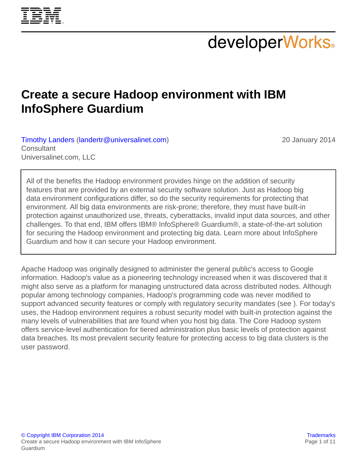

# **developerWorks**

## **Create a secure Hadoop environment with IBM InfoSphere Guardium**

[Timothy Landers](#page-10-0) ([landertr@universalinet.com\)](mailto:landertr@universalinet.com) **Consultant** Universalinet.com, LLC

20 January 2014

All of the benefits the Hadoop environment provides hinge on the addition of security features that are provided by an external security software solution. Just as Hadoop big data environment configurations differ, so do the security requirements for protecting that environment. All big data environments are risk-prone; therefore, they must have built-in protection against unauthorized use, threats, cyberattacks, invalid input data sources, and other challenges. To that end, IBM offers IBM® InfoSphere® Guardium®, a state-of-the-art solution for securing the Hadoop environment and protecting big data. Learn more about InfoSphere Guardium and how it can secure your Hadoop environment.

Apache Hadoop was originally designed to administer the general public's access to Google information. Hadoop's value as a pioneering technology increased when it was discovered that it might also serve as a platform for managing unstructured data across distributed nodes. Although popular among technology companies, Hadoop's programming code was never modified to support advanced security features or comply with regulatory security mandates (see ). For today's uses, the Hadoop environment requires a robust security model with built-in protection against the many levels of vulnerabilities that are found when you host big data. The Core Hadoop system offers service-level authentication for tiered administration plus basic levels of protection against data breaches. Its most prevalent security feature for protecting access to big data clusters is the user password.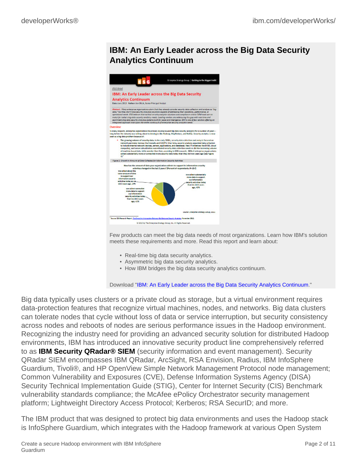#### **IBM: An Early Leader across the Big Data Security Analytics Continuum**



Few products can meet the big data needs of most organizations. Learn how IBM's solution meets these requirements and more. Read this report and learn about:

- Real-time big data security analytics.
- Asymmetric big data security analytics.
- How IBM bridges the big data security analytics continuum.

Download "[IBM: An Early Leader across the Big Data Security Analytics Continuum](https://www14.software.ibm.com/webapp/iwm/web/signup.do?source=swg-WW_Security_Organic&S_PKG=ov16208&S_CMP=web_dw_rt_swd&ca=dbg-csp0145-evt0058)."

Big data typically uses clusters or a private cloud as storage, but a virtual environment requires data-protection features that recognize virtual machines, nodes, and networks. Big data clusters can tolerate nodes that cycle without loss of data or service interruption, but security consistency across nodes and reboots of nodes are serious performance issues in the Hadoop environment. Recognizing the industry need for providing an advanced security solution for distributed Hadoop environments, IBM has introduced an innovative security product line comprehensively referred to as **IBM Security QRadar® SIEM** (security information and event management). Security QRadar SIEM encompasses IBM QRadar, ArcSight, RSA Envision, Radius, IBM InfoSphere Guardium, Tivoli®, and HP OpenView Simple Network Management Protocol node management; Common Vulnerability and Exposures (CVE), Defense Information Systems Agency (DISA) Security Technical Implementation Guide (STIG), Center for Internet Security (CIS) Benchmark vulnerability standards compliance; the McAfee ePolicy Orchestrator security management platform; Lightweight Directory Access Protocol; Kerberos; RSA SecurID; and more.

The IBM product that was designed to protect big data environments and uses the Hadoop stack is InfoSphere Guardium, which integrates with the Hadoop framework at various Open System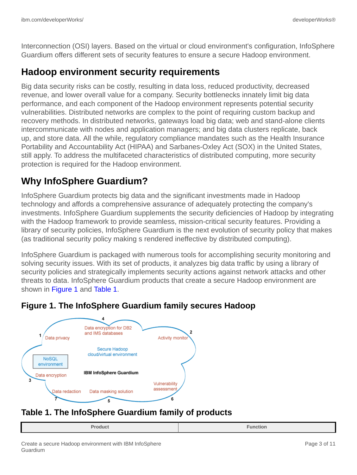Interconnection (OSI) layers. Based on the virtual or cloud environment's configuration, InfoSphere Guardium offers different sets of security features to ensure a secure Hadoop environment.

#### **Hadoop environment security requirements**

Big data security risks can be costly, resulting in data loss, reduced productivity, decreased revenue, and lower overall value for a company. Security bottlenecks innately limit big data performance, and each component of the Hadoop environment represents potential security vulnerabilities. Distributed networks are complex to the point of requiring custom backup and recovery methods. In distributed networks, gateways load big data; web and stand-alone clients intercommunicate with nodes and application managers; and big data clusters replicate, back up, and store data. All the while, regulatory compliance mandates such as the Health Insurance Portability and Accountability Act (HIPAA) and Sarbanes-Oxley Act (SOX) in the United States, still apply. To address the multifaceted characteristics of distributed computing, more security protection is required for the Hadoop environment.

### **Why InfoSphere Guardium?**

InfoSphere Guardium protects big data and the significant investments made in Hadoop technology and affords a comprehensive assurance of adequately protecting the company's investments. InfoSphere Guardium supplements the security deficiencies of Hadoop by integrating with the Hadoop framework to provide seamless, mission-critical security features. Providing a library of security policies, InfoSphere Guardium is the next evolution of security policy that makes (as traditional security policy making s rendered ineffective by distributed computing).

InfoSphere Guardium is packaged with numerous tools for accomplishing security monitoring and solving security issues. With its set of products, it analyzes big data traffic by using a library of security policies and strategically implements security actions against network attacks and other threats to data. InfoSphere Guardium products that create a secure Hadoop environment are shown in [Figure 1](#page-2-0) and [Table 1](#page-2-1).

<span id="page-2-0"></span>



#### <span id="page-2-1"></span>**Table 1. The InfoSphere Guardium family of products**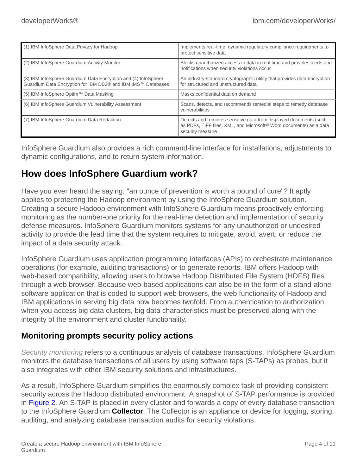| (1) IBM InfoSphere Data Privacy for Hadoop                                                                                     | Implements real-time, dynamic regulatory compliance requirements to<br>protect sensitive data                                                               |
|--------------------------------------------------------------------------------------------------------------------------------|-------------------------------------------------------------------------------------------------------------------------------------------------------------|
| (2) IBM InfoSphere Guardium Activity Monitor                                                                                   | Blocks unauthorized access to data in real time and provides alerts and<br>notifications when security violations occur                                     |
| (3) IBM InfoSphere Guardium Data Encryption and (4) InfoSphere<br>Guardium Data Encryption for IBM DB2® and IBM IMS™ Databases | An industry-standard cryptographic utility that provides data encryption<br>for structured and unstructured data                                            |
| (5) IBM InfoSphere Optim™ Data Masking                                                                                         | Masks confidential data on demand                                                                                                                           |
| (6) IBM InfoSphere Guardium Vulnerability Assessment                                                                           | Scans, detects, and recommends remedial steps to remedy database<br>vulnerabilities                                                                         |
| (7) IBM InfoSphere Guardium Data Redaction                                                                                     | Detects and removes sensitive data from displayed documents (such<br>as PDFs, TIFF files, XML, and Microsoft® Word documents) as a data<br>security measure |

InfoSphere Guardium also provides a rich command-line interface for installations, adjustments to dynamic configurations, and to return system information.

### **How does InfoSphere Guardium work?**

Have you ever heard the saying, "an ounce of prevention is worth a pound of cure"? It aptly applies to protecting the Hadoop environment by using the InfoSphere Guardium solution. Creating a secure Hadoop environment with InfoSphere Guardium means proactively enforcing monitoring as the number-one priority for the real-time detection and implementation of security defense measures. InfoSphere Guardium monitors systems for any unauthorized or undesired activity to provide the lead time that the system requires to mitigate, avoid, avert, or reduce the impact of a data security attack.

InfoSphere Guardium uses application programming interfaces (APIs) to orchestrate maintenance operations (for example, auditing transactions) or to generate reports. IBM offers Hadoop with web-based compatibility, allowing users to browse Hadoop Distributed File System (HDFS) files through a web browser. Because web-based applications can also be in the form of a stand-alone software application that is coded to support web browsers, the web functionality of Hadoop and IBM applications in serving big data now becomes twofold. From authentication to authorization when you access big data clusters, big data characteristics must be preserved along with the integrity of the environment and cluster functionality.

#### **Monitoring prompts security policy actions**

*Security monitoring* refers to a continuous analysis of database transactions. InfoSphere Guardium monitors the database transactions of all users by using software taps (S-TAPs) as probes, but it also integrates with other IBM security solutions and infrastructures.

As a result, InfoSphere Guardium simplifies the enormously complex task of providing consistent security across the Hadoop distributed environment. A snapshot of S-TAP performance is provided in [Figure 2](#page-4-0). An S-TAP is placed in every cluster and forwards a copy of every database transaction to the InfoSphere Guardium **Collector**. The Collector is an appliance or device for logging, storing, auditing, and analyzing database transaction audits for security violations.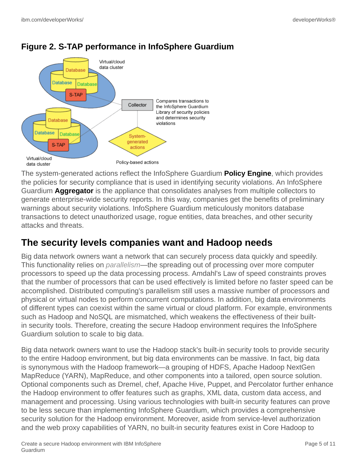

#### <span id="page-4-0"></span>**Figure 2. S-TAP performance in InfoSphere Guardium**

The system-generated actions reflect the InfoSphere Guardium **Policy Engine**, which provides the policies for security compliance that is used in identifying security violations. An InfoSphere Guardium **Aggregator** is the appliance that consolidates analyses from multiple collectors to generate enterprise-wide security reports. In this way, companies get the benefits of preliminary warnings about security violations. InfoSphere Guardium meticulously monitors database transactions to detect unauthorized usage, rogue entities, data breaches, and other security attacks and threats.

#### **The security levels companies want and Hadoop needs**

Big data network owners want a network that can securely process data quickly and speedily. This functionality relies on *parallelism*—the spreading out of processing over more computer processors to speed up the data processing process. Amdahl's Law of speed constraints proves that the number of processors that can be used effectively is limited before no faster speed can be accomplished. Distributed computing's parallelism still uses a massive number of processors and physical or virtual nodes to perform concurrent computations. In addition, big data environments of different types can coexist within the same virtual or cloud platform. For example, environments such as Hadoop and NoSQL are mismatched, which weakens the effectiveness of their builtin security tools. Therefore, creating the secure Hadoop environment requires the InfoSphere Guardium solution to scale to big data.

Big data network owners want to use the Hadoop stack's built-in security tools to provide security to the entire Hadoop environment, but big data environments can be massive. In fact, big data is synonymous with the Hadoop framework—a grouping of HDFS, Apache Hadoop NextGen MapReduce (YARN), MapReduce, and other components into a tailored, open source solution. Optional components such as Dremel, chef, Apache Hive, Puppet, and Percolator further enhance the Hadoop environment to offer features such as graphs, XML data, custom data access, and management and processing. Using various technologies with built-in security features can prove to be less secure than implementing InfoSphere Guardium, which provides a comprehensive security solution for the Hadoop environment. Moreover, aside from service-level authorization and the web proxy capabilities of YARN, no built-in security features exist in Core Hadoop to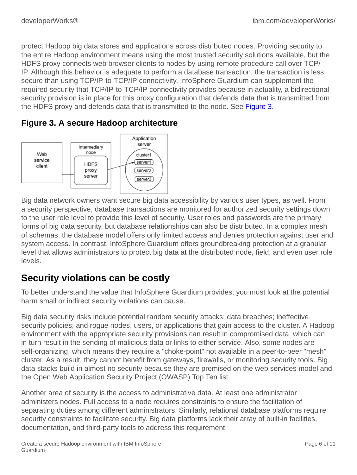protect Hadoop big data stores and applications across distributed nodes. Providing security to the entire Hadoop environment means using the most trusted security solutions available, but the HDFS proxy connects web browser clients to nodes by using remote procedure call over TCP/ IP. Although this behavior is adequate to perform a database transaction, the transaction is less secure than using TCP/IP-to-TCP/IP connectivity. InfoSphere Guardium can supplement the required security that TCP/IP-to-TCP/IP connectivity provides because in actuality, a bidirectional security provision is in place for this proxy configuration that defends data that is transmitted from the HDFS proxy and defends data that is transmitted to the node. See [Figure 3](#page-5-0).

<span id="page-5-0"></span>



Big data network owners want secure big data accessibility by various user types, as well. From a security perspective, database transactions are monitored for authorized security settings down to the user role level to provide this level of security. User roles and passwords are the primary forms of big data security, but database relationships can also be distributed. In a complex mesh of schemas, the database model offers only limited access and denies protection against user and system access. In contrast, InfoSphere Guardium offers groundbreaking protection at a granular level that allows administrators to protect big data at the distributed node, field, and even user role levels.

### **Security violations can be costly**

To better understand the value that InfoSphere Guardium provides, you must look at the potential harm small or indirect security violations can cause.

Big data security risks include potential random security attacks; data breaches; ineffective security policies; and rogue nodes, users, or applications that gain access to the cluster. A Hadoop environment with the appropriate security provisions can result in compromised data, which can in turn result in the sending of malicious data or links to either service. Also, some nodes are self-organizing, which means they require a "choke-point" not available in a peer-to-peer "mesh" cluster. As a result, they cannot benefit from gateways, firewalls, or monitoring security tools. Big data stacks build in almost no security because they are premised on the web services model and the Open Web Application Security Project (OWASP) Top Ten list.

Another area of security is the access to administrative data. At least one administrator administers nodes. Full access to a node requires constraints to ensure the facilitation of separating duties among different administrators. Similarly, relational database platforms require security constraints to facilitate security. Big data platforms lack their array of built-in facilities, documentation, and third-party tools to address this requirement.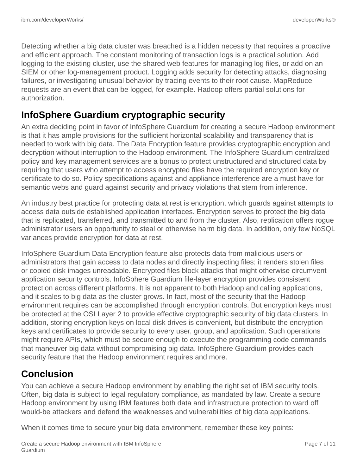Detecting whether a big data cluster was breached is a hidden necessity that requires a proactive and efficient approach. The constant monitoring of transaction logs is a practical solution. Add logging to the existing cluster, use the shared web features for managing log files, or add on an SIEM or other log-management product. Logging adds security for detecting attacks, diagnosing failures, or investigating unusual behavior by tracing events to their root cause. MapReduce requests are an event that can be logged, for example. Hadoop offers partial solutions for authorization.

#### **InfoSphere Guardium cryptographic security**

An extra deciding point in favor of InfoSphere Guardium for creating a secure Hadoop environment is that it has ample provisions for the sufficient horizontal scalability and transparency that is needed to work with big data. The Data Encryption feature provides cryptographic encryption and decryption without interruption to the Hadoop environment. The InfoSphere Guardium centralized policy and key management services are a bonus to protect unstructured and structured data by requiring that users who attempt to access encrypted files have the required encryption key or certificate to do so. Policy specifications against and appliance interference are a must have for semantic webs and guard against security and privacy violations that stem from inference.

An industry best practice for protecting data at rest is encryption, which guards against attempts to access data outside established application interfaces. Encryption serves to protect the big data that is replicated, transferred, and transmitted to and from the cluster. Also, replication offers rogue administrator users an opportunity to steal or otherwise harm big data. In addition, only few NoSQL variances provide encryption for data at rest.

InfoSphere Guardium Data Encryption feature also protects data from malicious users or administrators that gain access to data nodes and directly inspecting files; it renders stolen files or copied disk images unreadable. Encrypted files block attacks that might otherwise circumvent application security controls. InfoSphere Guardium file-layer encryption provides consistent protection across different platforms. It is not apparent to both Hadoop and calling applications, and it scales to big data as the cluster grows. In fact, most of the security that the Hadoop environment requires can be accomplished through encryption controls. But encryption keys must be protected at the OSI Layer 2 to provide effective cryptographic security of big data clusters. In addition, storing encryption keys on local disk drives is convenient, but distribute the encryption keys and certificates to provide security to every user, group, and application. Such operations might require APIs, which must be secure enough to execute the programming code commands that maneuver big data without compromising big data. InfoSphere Guardium provides each security feature that the Hadoop environment requires and more.

### **Conclusion**

You can achieve a secure Hadoop environment by enabling the right set of IBM security tools. Often, big data is subject to legal regulatory compliance, as mandated by law. Create a secure Hadoop environment by using IBM features both data and infrastructure protection to ward off would-be attackers and defend the weaknesses and vulnerabilities of big data applications.

When it comes time to secure your big data environment, remember these key points: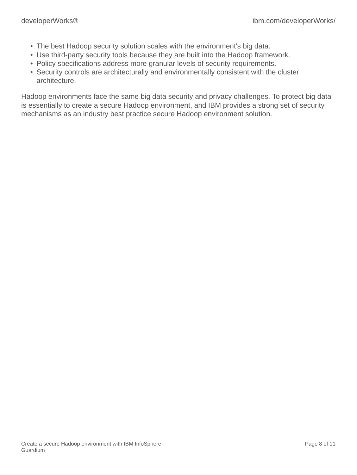- The best Hadoop security solution scales with the environment's big data.
- Use third-party security tools because they are built into the Hadoop framework.
- Policy specifications address more granular levels of security requirements.
- Security controls are architecturally and environmentally consistent with the cluster architecture.

Hadoop environments face the same big data security and privacy challenges. To protect big data is essentially to create a secure Hadoop environment, and IBM provides a strong set of security mechanisms as an industry best practice secure Hadoop environment solution.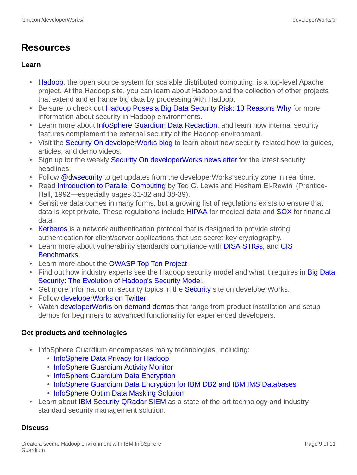### **Resources**

#### **Learn**

- [Hadoop,](http://hadoop.apache.org/) the open source system for scalable distributed computing, is a top-level Apache project. At the Hadoop site, you can learn about Hadoop and the collection of other projects that extend and enhance big data by processing with Hadoop.
- Be sure to check out [Hadoop Poses a Big Data Security Risk: 10 Reasons Why](http://www.eweek.com/security/slideshows/hadoop-poses-a-big-data-security-risk-10-reasons-why/#sthash.tLKndOYw.dpuf) for more information about security in Hadoop environments.
- Learn more about [InfoSphere Guardium Data Redaction](http://www-03.ibm.com/software/products/en/infoguardatareda), and learn how internal security features complement the external security of the Hadoop environment.
- Visit the [Security On developerWorks blog](https://www.ibm.com/developerworks/community/blogs/81c130c7-4408-4e01-adf5-658ae0ef5f0c/?lang=en) to learn about new security-related how-to guides, articles, and demo videos.
- Sign up for the weekly [Security On developerWorks newsletter](http://paper.li/dWSecurity/1376928787) for the latest security headlines.
- Follow [@dwsecurity](https://twitter.com/dWSecurity) to get updates from the developerWorks security zone in real time.
- Read [Introduction to Parallel Computing](http://dl.acm.org/citation.cfm?id=128877) by Ted G. Lewis and Hesham El-Rewini (Prentice-Hall, 1992—especially pages 31-32 and 38-39).
- Sensitive data comes in many forms, but a growing list of regulations exists to ensure that data is kept private. These regulations include **HIPAA** for medical data and **SOX** for financial data.
- [Kerberos](http://web.mit.edu/kerberos/) is a network authentication protocol that is designed to provide strong authentication for client/server applications that use secret-key cryptography.
- Learn more about vulnerability standards compliance with [DISA STIGs](http://iase.disa.mil/stigs/), and [CIS](http://www.cisecurity.org) [Benchmarks](http://www.cisecurity.org).
- Learn more about the [OWASP Top Ten Project.](https://www.owasp.org/index.php/Category:OWASP_Top_Ten_Project)
- Find out how industry experts see the Hadoop security model and what it requires in [Big Data](http://www.infoq.com/articles/HadoopSecurityModel) [Security: The Evolution of Hadoop's Security Model.](http://www.infoq.com/articles/HadoopSecurityModel)
- Get more information on security topics in the [Security](http://www.ibm.com/developerworks/security/) site on developerWorks.
- Follow [developerWorks on Twitter.](http://www.twitter.com/developerworks/)
- Watch [developerWorks on-demand demos](http://www.ibm.com/developerworks/offers/lp/demos/) that range from product installation and setup demos for beginners to advanced functionality for experienced developers.

#### **Get products and technologies**

- InfoSphere Guardium encompasses many technologies, including:
	- [InfoSphere Data Privacy for Hadoop](http://www-03.ibm.com/software/products/en/infosphere-data-privacy-for-hadoop/)
	- [InfoSphere Guardium Activity Monitor](http://www-03.ibm.com/software/products/en/infosphere-guardium-data-activity-monitor)
	- [InfoSphere Guardium Data Encryption](http://www-03.ibm.com/software/products/en/infosphere-guardium-data-encryption)
	- [InfoSphere Guardium Data Encryption for IBM DB2 and IBM IMS Databases](http://www-03.ibm.com/software/products/en/infoguardataencrfordb2andimsdata/)
	- [InfoSphere Optim Data Masking Solution](http://public.dhe.ibm.com/common/ssi/ecm/en/ims14076usen/IMS14076USEN.PDF)
- Learn about [IBM Security QRadar SIEM](http://www.ndm.net/siem/ibm-q1-labs/qradar-siem?gclid=CJLQhq2c5boCFS8S7AodkXAA1Q) as a state-of-the-art technology and industrystandard security management solution.

#### **Discuss**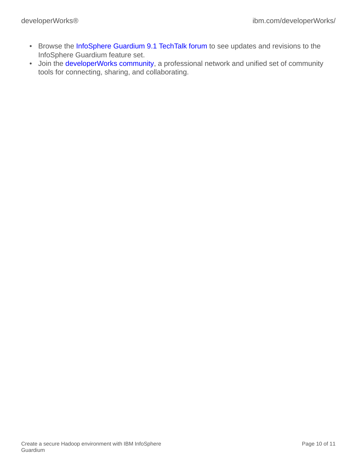- Browse the [InfoSphere Guardium 9.1 TechTalk forum](https://www.google.com/url?sa=t&rct=j&q=&esrc=s&frm=1&source=web&cd=1&cad=rja&ved=0CEAQFjAA&url=https%3A%2F%2Fwww.ibm.com%2Fdeveloperworks%2Fcommunity%2Fwikis%2Fform%2Fanonymous%2Fapi%2Fwiki%2F030e7f34-199f-4849-aeee-f0dcd79341fe%2Fpage%2F20e03bf9-5305-41d2-a93b-bcae519289f8%2Fattachment%2Fecf360f7-9cb8-463a-95f6-ee1c9871b9e8%2Fmedia%2FGuardium   9.1   TechTalk_final.pdf&ei=S0CFUseZELfJsQTPi4DgBA&usg=AFQjCNHe-GU6zgCQ3VU8YhTjBKjm0IgxBA&sig2=BrDy9K3kOxWObqSQJICgcA) to see updates and revisions to the InfoSphere Guardium feature set.
- Join the [developerWorks community,](https://www.ibm.com/developerworks/community/) a professional network and unified set of community tools for connecting, sharing, and collaborating.